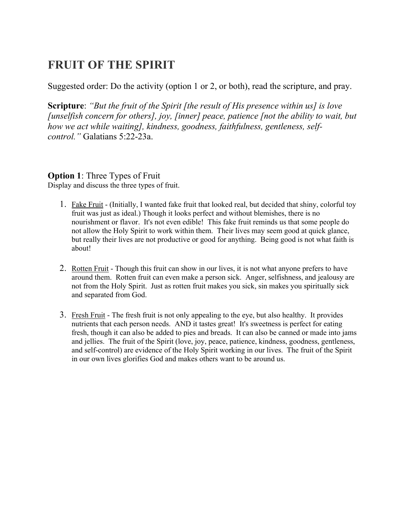## FRUIT OF THE SPIRIT

Suggested order: Do the activity (option 1 or 2, or both), read the scripture, and pray.

Scripture: "But the fruit of the Spirit [the result of His presence within us] is love [unselfish concern for others], joy, [inner] peace, patience [not the ability to wait, but how we act while waiting], kindness, goodness, faithfulness, gentleness, selfcontrol." Galatians 5:22-23a.

## **Option 1:** Three Types of Fruit

Display and discuss the three types of fruit.

- 1. Fake Fruit (Initially, I wanted fake fruit that looked real, but decided that shiny, colorful toy fruit was just as ideal.) Though it looks perfect and without blemishes, there is no nourishment or flavor. It's not even edible! This fake fruit reminds us that some people do not allow the Holy Spirit to work within them. Their lives may seem good at quick glance, but really their lives are not productive or good for anything. Being good is not what faith is about!
- 2. Rotten Fruit Though this fruit can show in our lives, it is not what anyone prefers to have around them. Rotten fruit can even make a person sick. Anger, selfishness, and jealousy are not from the Holy Spirit. Just as rotten fruit makes you sick, sin makes you spiritually sick and separated from God.
- 3. Fresh Fruit The fresh fruit is not only appealing to the eye, but also healthy. It provides nutrients that each person needs. AND it tastes great! It's sweetness is perfect for eating fresh, though it can also be added to pies and breads. It can also be canned or made into jams and jellies. The fruit of the Spirit (love, joy, peace, patience, kindness, goodness, gentleness, and self-control) are evidence of the Holy Spirit working in our lives. The fruit of the Spirit in our own lives glorifies God and makes others want to be around us.